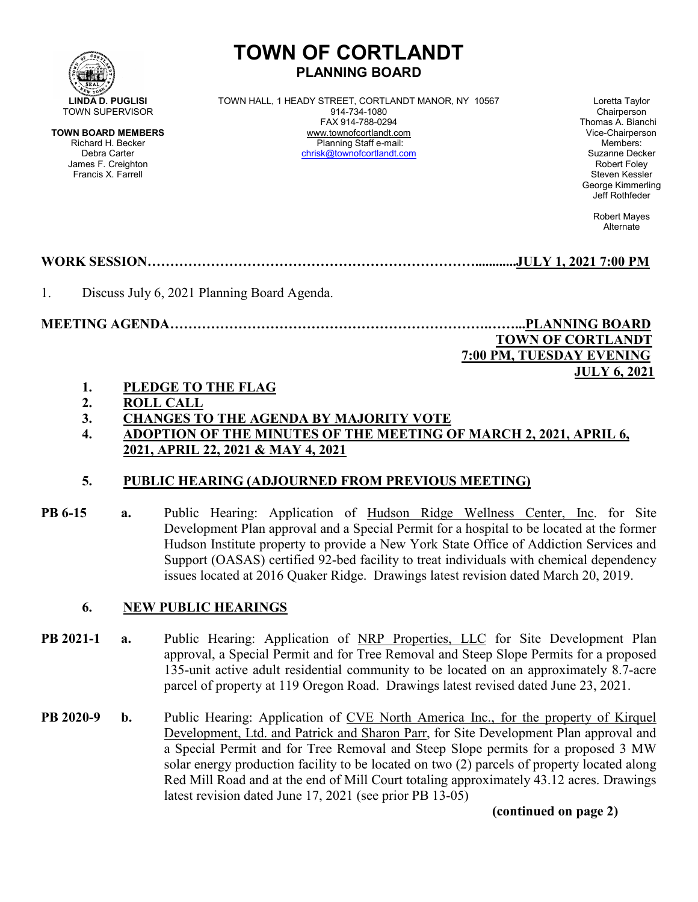

# **TOWN OF CORTLANDT PLANNING BOARD**

**LINDA D. PUGLISI** TOWN HALL, 1 HEADY STREET, CORTLANDT MANOR, NY 10567 Loretta Taylor<br>
914-734-1080 MALL, 1 HEADY STREET, CORTLANDT MANOR, NY 10567 Chairperson FAX 914-788-0294 Thomas A. Bianchi **TOWN BOARD MEMBERS** www.townofcortlandt.com www.townofcontlandt.com Vice-Chairpers<br>Richard H. Becker **Chairpers** Planning Staff e-mail: Members: Members: Richard H. Becker Planning Staff e-mail: Members: [chrisk@townofcortlandt.com](mailto:chrisk@townofcortlandt.com)

George Kimmerling Jeff Rothfeder

> Robert Mayes Alternate

## **WORK SESSION………………………………………………………………............JULY 1, 2021 7:00 PM**

1. Discuss July 6, 2021 Planning Board Agenda.

**MEETING AGENDA…………………………………………………………….……...PLANNING BOARD**

#### **TOWN OF CORTLANDT 7:00 PM, TUESDAY EVENING JULY 6, 2021**

#### **1. PLEDGE TO THE FLAG**

- **2. ROLL CALL**
- **3. CHANGES TO THE AGENDA BY MAJORITY VOTE**
- **4. ADOPTION OF THE MINUTES OF THE MEETING OF MARCH 2, 2021, APRIL 6, 2021, APRIL 22, 2021 & MAY 4, 2021**

## **5. PUBLIC HEARING (ADJOURNED FROM PREVIOUS MEETING)**

**PB 6-15 a.** Public Hearing: Application of Hudson Ridge Wellness Center, Inc. for Site Development Plan approval and a Special Permit for a hospital to be located at the former Hudson Institute property to provide a New York State Office of Addiction Services and Support (OASAS) certified 92-bed facility to treat individuals with chemical dependency issues located at 2016 Quaker Ridge. Drawings latest revision dated March 20, 2019.

#### **6. NEW PUBLIC HEARINGS**

- **PB 2021-1 a.** Public Hearing: Application of NRP Properties, LLC for Site Development Plan approval, a Special Permit and for Tree Removal and Steep Slope Permits for a proposed 135-unit active adult residential community to be located on an approximately 8.7-acre parcel of property at 119 Oregon Road. Drawings latest revised dated June 23, 2021.
- **PB 2020-9 b.** Public Hearing: Application of CVE North America Inc., for the property of Kirquel Development, Ltd. and Patrick and Sharon Parr, for Site Development Plan approval and a Special Permit and for Tree Removal and Steep Slope permits for a proposed 3 MW solar energy production facility to be located on two (2) parcels of property located along Red Mill Road and at the end of Mill Court totaling approximately 43.12 acres. Drawings latest revision dated June 17, 2021 (see prior PB 13-05)

#### **(continued on page 2)**

James F. Creighton Robert Foley Francis X. Farrell